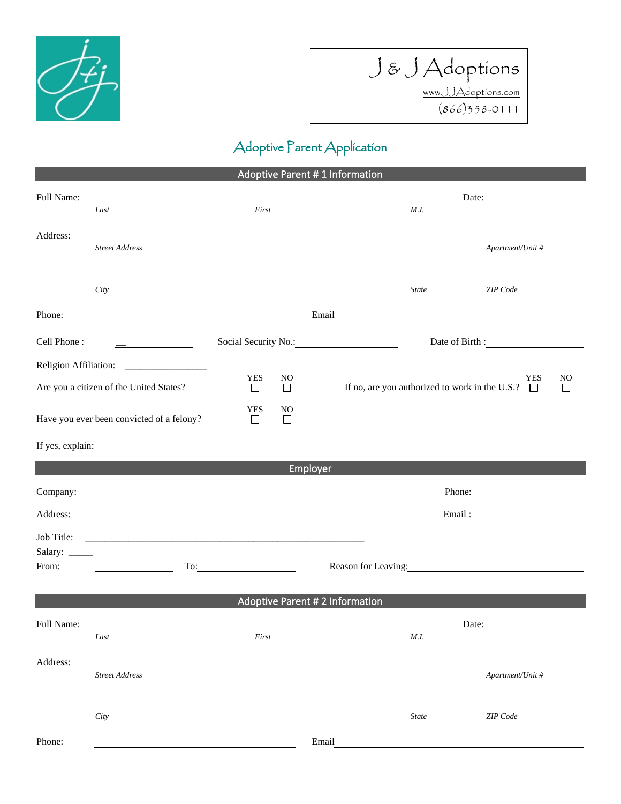



## Adoptive Parent Application

| <b>Adoptive Parent #1 Information</b>                                                                                                           |                                                                                                                  |                 |               |                                                                                                                                                                                                                                      |  |  |  |  |
|-------------------------------------------------------------------------------------------------------------------------------------------------|------------------------------------------------------------------------------------------------------------------|-----------------|---------------|--------------------------------------------------------------------------------------------------------------------------------------------------------------------------------------------------------------------------------------|--|--|--|--|
| Full Name:                                                                                                                                      |                                                                                                                  |                 |               | Date:                                                                                                                                                                                                                                |  |  |  |  |
|                                                                                                                                                 | Last                                                                                                             | First           |               | M.I.                                                                                                                                                                                                                                 |  |  |  |  |
| Address:                                                                                                                                        |                                                                                                                  |                 |               |                                                                                                                                                                                                                                      |  |  |  |  |
|                                                                                                                                                 | <b>Street Address</b>                                                                                            |                 |               | Apartment/Unit #                                                                                                                                                                                                                     |  |  |  |  |
|                                                                                                                                                 |                                                                                                                  |                 |               |                                                                                                                                                                                                                                      |  |  |  |  |
|                                                                                                                                                 | City                                                                                                             |                 |               | <b>State</b><br>ZIP Code                                                                                                                                                                                                             |  |  |  |  |
| Phone:                                                                                                                                          |                                                                                                                  |                 |               | Email <u>and the community of the community of the community of the community of the community of the community of the community of the community of the community of the community of the community of the community of the com</u> |  |  |  |  |
|                                                                                                                                                 |                                                                                                                  |                 |               |                                                                                                                                                                                                                                      |  |  |  |  |
| Cell Phone:                                                                                                                                     | $\overline{\phantom{a}}$                                                                                         |                 |               | Date of Birth :                                                                                                                                                                                                                      |  |  |  |  |
|                                                                                                                                                 |                                                                                                                  |                 |               |                                                                                                                                                                                                                                      |  |  |  |  |
| Are you a citizen of the United States?                                                                                                         |                                                                                                                  | <b>YES</b><br>□ | NO.<br>$\Box$ | <b>YES</b><br>NO<br>If no, are you authorized to work in the U.S.? $\Box$<br>ГI                                                                                                                                                      |  |  |  |  |
|                                                                                                                                                 |                                                                                                                  | YES             | NO            |                                                                                                                                                                                                                                      |  |  |  |  |
| Have you ever been convicted of a felony?                                                                                                       |                                                                                                                  | $\Box$          | $\Box$        |                                                                                                                                                                                                                                      |  |  |  |  |
| If yes, explain:<br><u>. In the contract of the contract of the contract of the contract of the contract of the contract of the contract of</u> |                                                                                                                  |                 |               |                                                                                                                                                                                                                                      |  |  |  |  |
| Employer                                                                                                                                        |                                                                                                                  |                 |               |                                                                                                                                                                                                                                      |  |  |  |  |
| Company:                                                                                                                                        | and the control of the control of the control of the control of the control of the control of the control of the |                 |               | Phone: 2008                                                                                                                                                                                                                          |  |  |  |  |
| Address:                                                                                                                                        |                                                                                                                  |                 |               |                                                                                                                                                                                                                                      |  |  |  |  |
|                                                                                                                                                 |                                                                                                                  |                 |               |                                                                                                                                                                                                                                      |  |  |  |  |
| Job Title:<br>Salary: ______                                                                                                                    | and the control of the control of the control of the control of the control of the control of the control of the |                 |               |                                                                                                                                                                                                                                      |  |  |  |  |
| From:                                                                                                                                           |                                                                                                                  |                 |               | Reason for Leaving:                                                                                                                                                                                                                  |  |  |  |  |
|                                                                                                                                                 |                                                                                                                  |                 |               |                                                                                                                                                                                                                                      |  |  |  |  |
| <b>Adoptive Parent # 2 Information</b>                                                                                                          |                                                                                                                  |                 |               |                                                                                                                                                                                                                                      |  |  |  |  |
| Full Name:                                                                                                                                      |                                                                                                                  |                 | Date:         |                                                                                                                                                                                                                                      |  |  |  |  |
|                                                                                                                                                 | Last                                                                                                             | First           |               | M.I.                                                                                                                                                                                                                                 |  |  |  |  |
| Address:                                                                                                                                        |                                                                                                                  |                 |               |                                                                                                                                                                                                                                      |  |  |  |  |
|                                                                                                                                                 | <b>Street Address</b>                                                                                            |                 |               | Apartment/Unit #                                                                                                                                                                                                                     |  |  |  |  |
|                                                                                                                                                 |                                                                                                                  |                 |               |                                                                                                                                                                                                                                      |  |  |  |  |
|                                                                                                                                                 | City                                                                                                             |                 |               | <b>State</b><br>ZIP Code                                                                                                                                                                                                             |  |  |  |  |
| Phone:                                                                                                                                          | Email                                                                                                            |                 |               |                                                                                                                                                                                                                                      |  |  |  |  |
|                                                                                                                                                 |                                                                                                                  |                 |               |                                                                                                                                                                                                                                      |  |  |  |  |